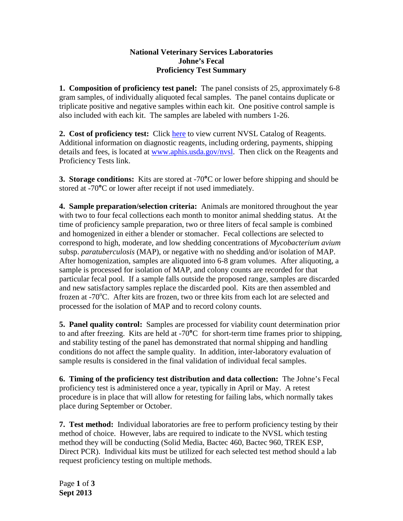## **National Veterinary Services Laboratories Johne's Fecal Proficiency Test Summary**

**1. Composition of proficiency test panel:** The panel consists of 25, approximately 6-8 gram samples, of individually aliquoted fecal samples. The panel contains duplicate or triplicate positive and negative samples within each kit. One positive control sample is also included with each kit. The samples are labeled with numbers 1-26.

**2. Cost of proficiency test:** Click [here](http://www.aphis.usda.gov/animal_health/lab_info_services/downloads/AmesReagentManualCurrent.pdf) to view current NVSL Catalog of Reagents. Additional information on diagnostic reagents, including ordering, payments, shipping details and fees, is located at [www.aphis.usda.gov/nvsl.](http://www.aphis.usda.gov/nvsl) Then click on the Reagents and Proficiency Tests link.

**3. Storage conditions:** Kits are stored at -70**°**C or lower before shipping and should be stored at -70**°**C or lower after receipt if not used immediately.

**4. Sample preparation/selection criteria:** Animals are monitored throughout the year with two to four fecal collections each month to monitor animal shedding status. At the time of proficiency sample preparation, two or three liters of fecal sample is combined and homogenized in either a blender or stomacher. Fecal collections are selected to correspond to high, moderate, and low shedding concentrations of *Mycobacterium avium* subsp. *paratuberculosis* (MAP), or negative with no shedding and/or isolation of MAP. After homogenization, samples are aliquoted into 6-8 gram volumes. After aliquoting, a sample is processed for isolation of MAP, and colony counts are recorded for that particular fecal pool. If a sample falls outside the proposed range, samples are discarded and new satisfactory samples replace the discarded pool. Kits are then assembled and frozen at -70°C. After kits are frozen, two or three kits from each lot are selected and processed for the isolation of MAP and to record colony counts.

**5. Panel quality control:** Samples are processed for viability count determination prior to and after freezing. Kits are held at -70**°**C for short-term time frames prior to shipping, and stability testing of the panel has demonstrated that normal shipping and handling conditions do not affect the sample quality. In addition, inter-laboratory evaluation of sample results is considered in the final validation of individual fecal samples.

**6. Timing of the proficiency test distribution and data collection:** The Johne's Fecal proficiency test is administered once a year, typically in April or May. A retest procedure is in place that will allow for retesting for failing labs, which normally takes place during September or October.

**7. Test method:** Individual laboratories are free to perform proficiency testing by their method of choice. However, labs are required to indicate to the NVSL which testing method they will be conducting (Solid Media, Bactec 460, Bactec 960, TREK ESP, Direct PCR). Individual kits must be utilized for each selected test method should a lab request proficiency testing on multiple methods.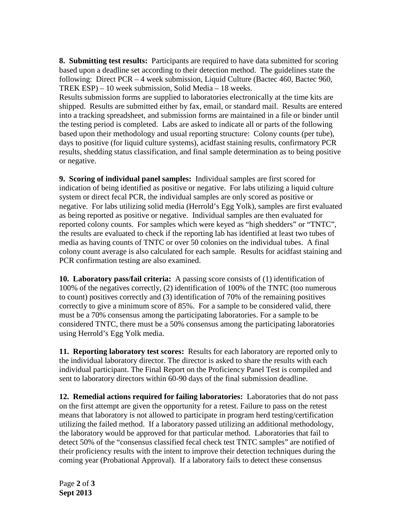**8. Submitting test results:** Participants are required to have data submitted for scoring based upon a deadline set according to their detection method. The guidelines state the following: Direct PCR – 4 week submission, Liquid Culture (Bactec 460, Bactec 960, TREK ESP) – 10 week submission, Solid Media – 18 weeks.

Results submission forms are supplied to laboratories electronically at the time kits are shipped. Results are submitted either by fax, email, or standard mail. Results are entered into a tracking spreadsheet, and submission forms are maintained in a file or binder until the testing period is completed. Labs are asked to indicate all or parts of the following based upon their methodology and usual reporting structure: Colony counts (per tube), days to positive (for liquid culture systems), acidfast staining results, confirmatory PCR results, shedding status classification, and final sample determination as to being positive or negative.

**9. Scoring of individual panel samples:** Individual samples are first scored for indication of being identified as positive or negative. For labs utilizing a liquid culture system or direct fecal PCR, the individual samples are only scored as positive or negative. For labs utilizing solid media (Herrold's Egg Yolk), samples are first evaluated as being reported as positive or negative. Individual samples are then evaluated for reported colony counts. For samples which were keyed as "high shedders" or "TNTC", the results are evaluated to check if the reporting lab has identified at least two tubes of media as having counts of TNTC or over 50 colonies on the individual tubes. A final colony count average is also calculated for each sample. Results for acidfast staining and PCR confirmation testing are also examined.

**10. Laboratory pass/fail criteria:** A passing score consists of (1) identification of 100% of the negatives correctly, (2) identification of 100% of the TNTC (too numerous to count) positives correctly and (3) identification of 70% of the remaining positives correctly to give a minimum score of 85%. For a sample to be considered valid, there must be a 70% consensus among the participating laboratories. For a sample to be considered TNTC, there must be a 50% consensus among the participating laboratories using Herrold's Egg Yolk media.

**11. Reporting laboratory test scores:** Results for each laboratory are reported only to the individual laboratory director. The director is asked to share the results with each individual participant. The Final Report on the Proficiency Panel Test is compiled and sent to laboratory directors within 60-90 days of the final submission deadline.

**12. Remedial actions required for failing laboratories:** Laboratories that do not pass on the first attempt are given the opportunity for a retest. Failure to pass on the retest means that laboratory is not allowed to participate in program herd testing/certification utilizing the failed method. If a laboratory passed utilizing an additional methodology, the laboratory would be approved for that particular method. Laboratories that fail to detect 50% of the "consensus classified fecal check test TNTC samples" are notified of their proficiency results with the intent to improve their detection techniques during the coming year (Probational Approval). If a laboratory fails to detect these consensus